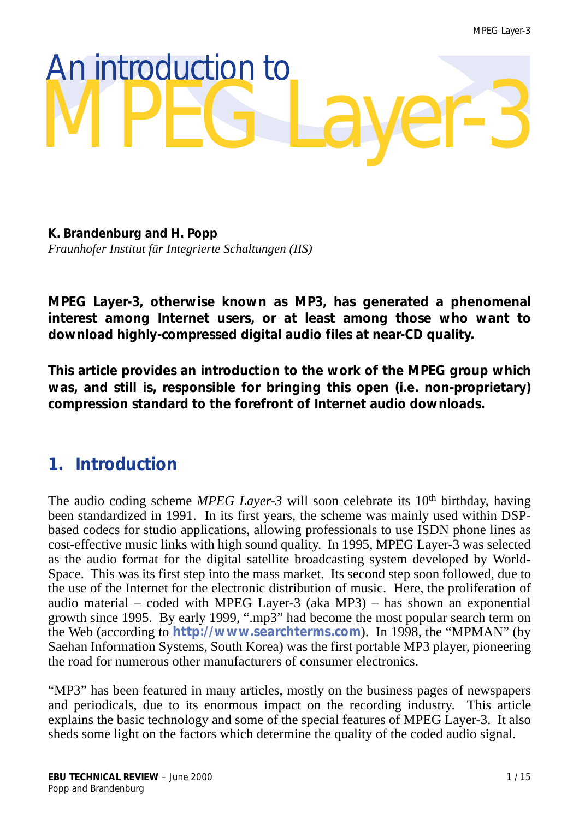# An introduction to MPEG Layer-3

**K. Brandenburg and H. Popp** *Fraunhofer Institut für Integrierte Schaltungen (IIS)*

**MPEG Layer-3, otherwise known as MP3, has generated a phenomenal interest among Internet users, or at least among those who want to download highly-compressed digital audio files at near-CD quality.**

**This article provides an introduction to the work of the MPEG group which was, and still is, responsible for bringing this open (i.e. non-proprietary) compression standard to the forefront of Internet audio downloads.**

# **1. Introduction**

The audio coding scheme *MPEG Layer-3* will soon celebrate its 10<sup>th</sup> birthday, having been standardized in 1991. In its first years, the scheme was mainly used within DSPbased codecs for studio applications, allowing professionals to use ISDN phone lines as cost-effective music links with high sound quality. In 1995, MPEG Layer-3 was selected as the audio format for the digital satellite broadcasting system developed by World-Space. This was its first step into the mass market. Its second step soon followed, due to the use of the Internet for the electronic distribution of music. Here, the proliferation of audio material – coded with MPEG Layer-3 (aka MP3) – has shown an exponential growth since 1995. By early 1999, ".mp3" had become the most popular search term on the Web (according to **<http://www.searchterms.com>**). In 1998, the "MPMAN" (by Saehan Information Systems, South Korea) was the first portable MP3 player, pioneering the road for numerous other manufacturers of consumer electronics.

"MP3" has been featured in many articles, mostly on the business pages of newspapers and periodicals, due to its enormous impact on the recording industry. This article explains the basic technology and some of the special features of MPEG Layer-3. It also sheds some light on the factors which determine the quality of the coded audio signal.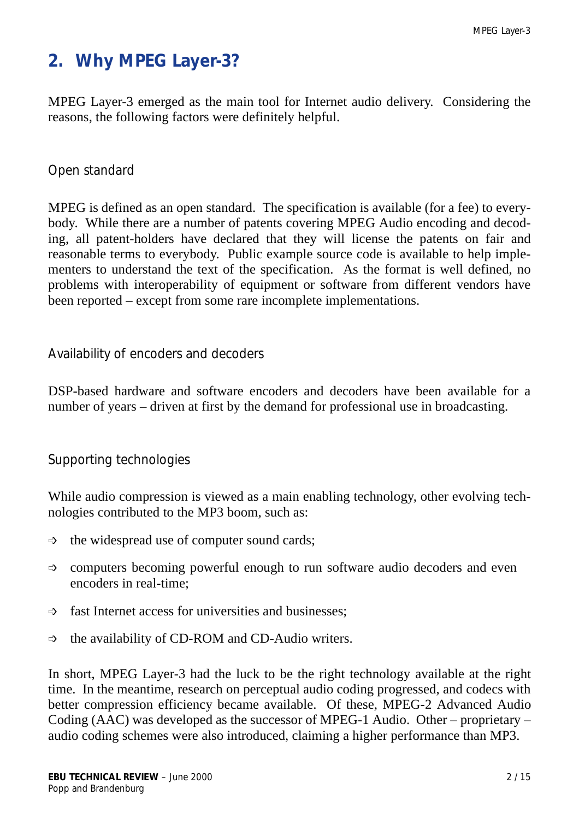# **2. Why MPEG Layer-3?**

MPEG Layer-3 emerged as the main tool for Internet audio delivery. Considering the reasons, the following factors were definitely helpful.

## *Open standard*

MPEG is defined as an open standard. The specification is available (for a fee) to everybody. While there are a number of patents covering MPEG Audio encoding and decoding, all patent-holders have declared that they will license the patents on fair and reasonable terms to everybody. Public example source code is available to help implementers to understand the text of the specification. As the format is well defined, no problems with interoperability of equipment or software from different vendors have been reported – except from some rare incomplete implementations.

#### *Availability of encoders and decoders*

DSP-based hardware and software encoders and decoders have been available for a number of years – driven at first by the demand for professional use in broadcasting.

## *Supporting technologies*

While audio compression is viewed as a main enabling technology, other evolving technologies contributed to the MP3 boom, such as:

- $\Rightarrow$  the widespread use of computer sound cards;
- $\Rightarrow$  computers becoming powerful enough to run software audio decoders and even encoders in real-time;
- $\Rightarrow$  fast Internet access for universities and businesses;
- $\Rightarrow$  the availability of CD-ROM and CD-Audio writers.

In short, MPEG Layer-3 had the luck to be the right technology available at the right time. In the meantime, research on perceptual audio coding progressed, and codecs with better compression efficiency became available. Of these, MPEG-2 Advanced Audio Coding (AAC) was developed as the successor of MPEG-1 Audio. Other – proprietary – audio coding schemes were also introduced, claiming a higher performance than MP3.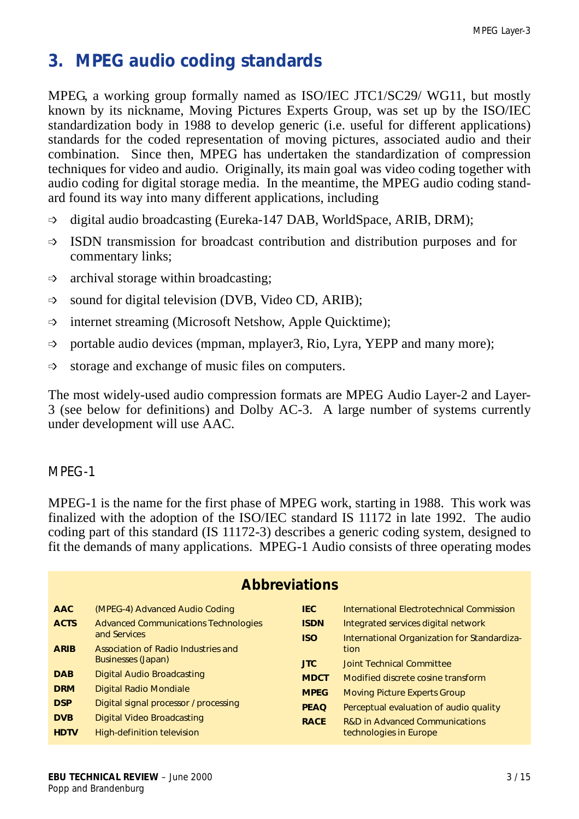# **3. MPEG audio coding standards**

MPEG, a working group formally named as ISO/IEC JTC1/SC29/ WG11, but mostly known by its nickname, Moving Pictures Experts Group, was set up by the ISO/IEC standardization body in 1988 to develop generic (i.e. useful for different applications) standards for the coded representation of moving pictures, associated audio and their combination. Since then, MPEG has undertaken the standardization of compression techniques for video and audio. Originally, its main goal was video coding together with audio coding for digital storage media. In the meantime, the MPEG audio coding standard found its way into many different applications, including

- $\Rightarrow$  digital audio broadcasting (Eureka-147 DAB, WorldSpace, ARIB, DRM);
- $\Rightarrow$  ISDN transmission for broadcast contribution and distribution purposes and for commentary links;
- $\Rightarrow$  archival storage within broadcasting;
- $\Rightarrow$  sound for digital television (DVB, Video CD, ARIB);
- $\Rightarrow$  internet streaming (Microsoft Netshow, Apple Quicktime);
- $\Rightarrow$  portable audio devices (mpman, mplayer3, Rio, Lyra, YEPP and many more);
- $\Rightarrow$  storage and exchange of music files on computers.

The most widely-used audio compression formats are MPEG Audio Layer-2 and Layer-3 (see below for definitions) and Dolby AC-3. A large number of systems currently under development will use AAC.

#### *MPEG-1*

MPEG-1 is the name for the first phase of MPEG work, starting in 1988. This work was finalized with the adoption of the ISO/IEC standard IS 11172 in late 1992. The audio coding part of this standard (IS 11172-3) describes a generic coding system, designed to fit the demands of many applications. MPEG-1 Audio consists of three operating modes

| <b>Abbreviations</b> |                                                             |             |                                             |
|----------------------|-------------------------------------------------------------|-------------|---------------------------------------------|
| <b>AAC</b>           | (MPEG-4) Advanced Audio Coding                              | <b>IEC</b>  | International Electrotechnical Commission   |
| <b>ACTS</b>          | <b>Advanced Communications Technologies</b><br>and Services | <b>ISDN</b> | Integrated services digital network         |
|                      |                                                             | <b>ISO</b>  | International Organization for Standardiza- |
| <b>ARIB</b>          | Association of Radio Industries and                         |             | tion                                        |
|                      | <b>Businesses (Japan)</b>                                   | <b>JTC</b>  | <b>Joint Technical Committee</b>            |
| <b>DAB</b>           | <b>Digital Audio Broadcasting</b>                           | <b>MDCT</b> | Modified discrete cosine transform          |
| <b>DRM</b>           | <b>Digital Radio Mondiale</b>                               | <b>MPEG</b> | <b>Moving Picture Experts Group</b>         |
| <b>DSP</b>           | Digital signal processor / processing                       | <b>PEAQ</b> | Perceptual evaluation of audio quality      |
| <b>DVB</b>           | Digital Video Broadcasting                                  | <b>RACE</b> | <b>R&amp;D in Advanced Communications</b>   |
| <b>HDTV</b>          | <b>High-definition television</b>                           |             | technologies in Europe                      |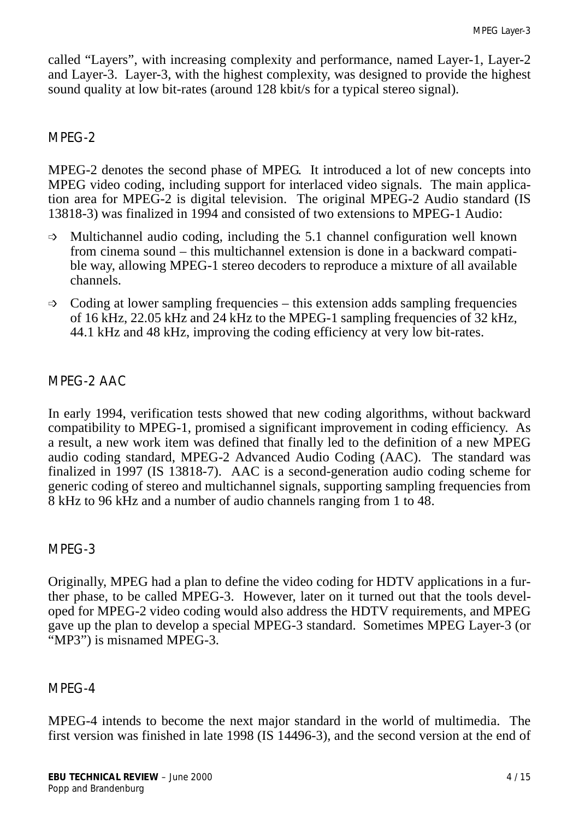called "Layers", with increasing complexity and performance, named Layer-1, Layer-2 and Layer-3. Layer-3, with the highest complexity, was designed to provide the highest sound quality at low bit-rates (around 128 kbit/s for a typical stereo signal).

#### *MPEG-2*

MPEG-2 denotes the second phase of MPEG. It introduced a lot of new concepts into MPEG video coding, including support for interlaced video signals. The main application area for MPEG-2 is digital television. The original MPEG-2 Audio standard (IS 13818-3) was finalized in 1994 and consisted of two extensions to MPEG-1 Audio:

- $\Rightarrow$  Multichannel audio coding, including the 5.1 channel configuration well known from cinema sound – this multichannel extension is done in a backward compatible way, allowing MPEG-1 stereo decoders to reproduce a mixture of all available channels.
- $\Rightarrow$  Coding at lower sampling frequencies this extension adds sampling frequencies of 16 kHz, 22.05 kHz and 24 kHz to the MPEG-1 sampling frequencies of 32 kHz, 44.1 kHz and 48 kHz, improving the coding efficiency at very low bit-rates.

## *MPEG-2 AAC*

In early 1994, verification tests showed that new coding algorithms, without backward compatibility to MPEG-1, promised a significant improvement in coding efficiency. As a result, a new work item was defined that finally led to the definition of a new MPEG audio coding standard, MPEG-2 Advanced Audio Coding (AAC). The standard was finalized in 1997 (IS 13818-7). AAC is a second-generation audio coding scheme for generic coding of stereo and multichannel signals, supporting sampling frequencies from 8 kHz to 96 kHz and a number of audio channels ranging from 1 to 48.

#### *MPEG-3*

Originally, MPEG had a plan to define the video coding for HDTV applications in a further phase, to be called MPEG-3. However, later on it turned out that the tools developed for MPEG-2 video coding would also address the HDTV requirements, and MPEG gave up the plan to develop a special MPEG-3 standard. Sometimes MPEG Layer-3 (or "MP3") is misnamed MPEG-3.

#### *MPEG-4*

MPEG-4 intends to become the next major standard in the world of multimedia. The first version was finished in late 1998 (IS 14496-3), and the second version at the end of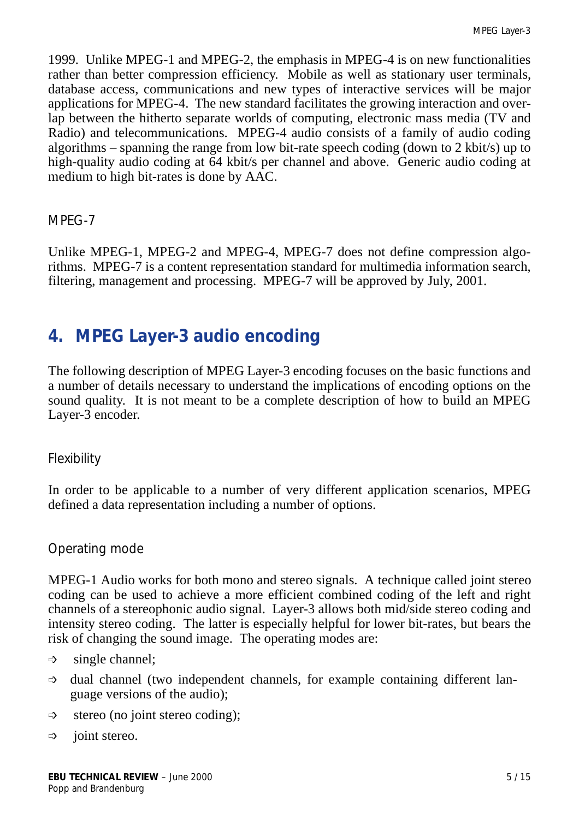1999. Unlike MPEG-1 and MPEG-2, the emphasis in MPEG-4 is on new functionalities rather than better compression efficiency. Mobile as well as stationary user terminals, database access, communications and new types of interactive services will be major applications for MPEG-4. The new standard facilitates the growing interaction and overlap between the hitherto separate worlds of computing, electronic mass media (TV and Radio) and telecommunications. MPEG-4 audio consists of a family of audio coding algorithms – spanning the range from low bit-rate speech coding (down to 2 kbit/s) up to high-quality audio coding at 64 kbit/s per channel and above. Generic audio coding at medium to high bit-rates is done by AAC.

#### *MPEG-7*

Unlike MPEG-1, MPEG-2 and MPEG-4, MPEG-7 does not define compression algorithms. MPEG-7 is a content representation standard for multimedia information search, filtering, management and processing. MPEG-7 will be approved by July, 2001.

# **4. MPEG Layer-3 audio encoding**

The following description of MPEG Layer-3 encoding focuses on the basic functions and a number of details necessary to understand the implications of encoding options on the sound quality. It is not meant to be a complete description of how to build an MPEG Layer-3 encoder.

## *Flexibility*

In order to be applicable to a number of very different application scenarios, MPEG defined a data representation including a number of options.

## *Operating mode*

MPEG-1 Audio works for both mono and stereo signals. A technique called joint stereo coding can be used to achieve a more efficient combined coding of the left and right channels of a stereophonic audio signal. Layer-3 allows both mid/side stereo coding and intensity stereo coding. The latter is especially helpful for lower bit-rates, but bears the risk of changing the sound image. The operating modes are:

- $\Rightarrow$  single channel;
- $\Rightarrow$  dual channel (two independent channels, for example containing different language versions of the audio);
- $\Rightarrow$  stereo (no joint stereo coding);
- $\Rightarrow$  joint stereo.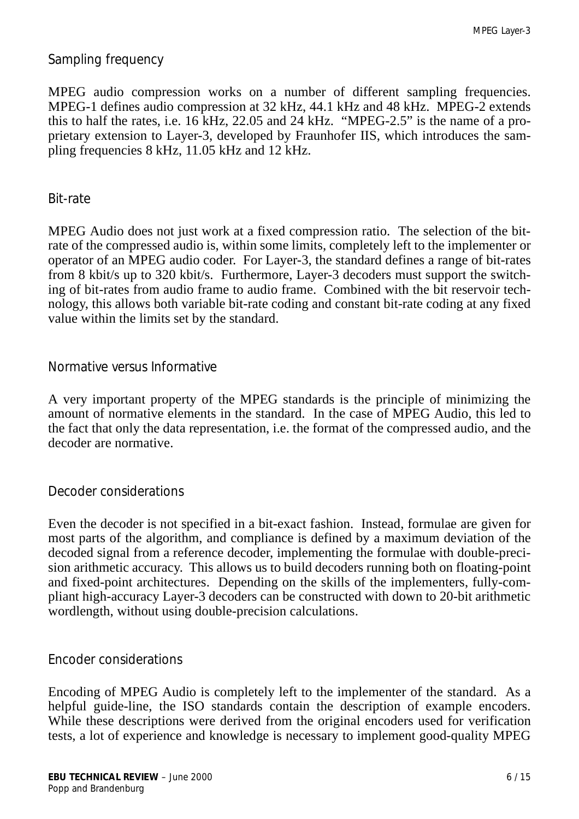#### *Sampling frequency*

MPEG audio compression works on a number of different sampling frequencies. MPEG-1 defines audio compression at 32 kHz, 44.1 kHz and 48 kHz. MPEG-2 extends this to half the rates, i.e. 16 kHz, 22.05 and 24 kHz. "MPEG-2.5" is the name of a proprietary extension to Layer-3, developed by Fraunhofer IIS, which introduces the sampling frequencies 8 kHz, 11.05 kHz and 12 kHz.

#### *Bit-rate*

MPEG Audio does not just work at a fixed compression ratio. The selection of the bitrate of the compressed audio is, within some limits, completely left to the implementer or operator of an MPEG audio coder. For Layer-3, the standard defines a range of bit-rates from 8 kbit/s up to 320 kbit/s. Furthermore, Layer-3 decoders must support the switching of bit-rates from audio frame to audio frame. Combined with the bit reservoir technology, this allows both variable bit-rate coding and constant bit-rate coding at any fixed value within the limits set by the standard.

#### *Normative versus Informative*

A very important property of the MPEG standards is the principle of minimizing the amount of normative elements in the standard. In the case of MPEG Audio, this led to the fact that only the data representation, i.e. the format of the compressed audio, and the decoder are normative.

#### *Decoder considerations*

Even the decoder is not specified in a bit-exact fashion. Instead, formulae are given for most parts of the algorithm, and compliance is defined by a maximum deviation of the decoded signal from a reference decoder, implementing the formulae with double-precision arithmetic accuracy. This allows us to build decoders running both on floating-point and fixed-point architectures. Depending on the skills of the implementers, fully-compliant high-accuracy Layer-3 decoders can be constructed with down to 20-bit arithmetic wordlength, without using double-precision calculations.

#### *Encoder considerations*

Encoding of MPEG Audio is completely left to the implementer of the standard. As a helpful guide-line, the ISO standards contain the description of example encoders. While these descriptions were derived from the original encoders used for verification tests, a lot of experience and knowledge is necessary to implement good-quality MPEG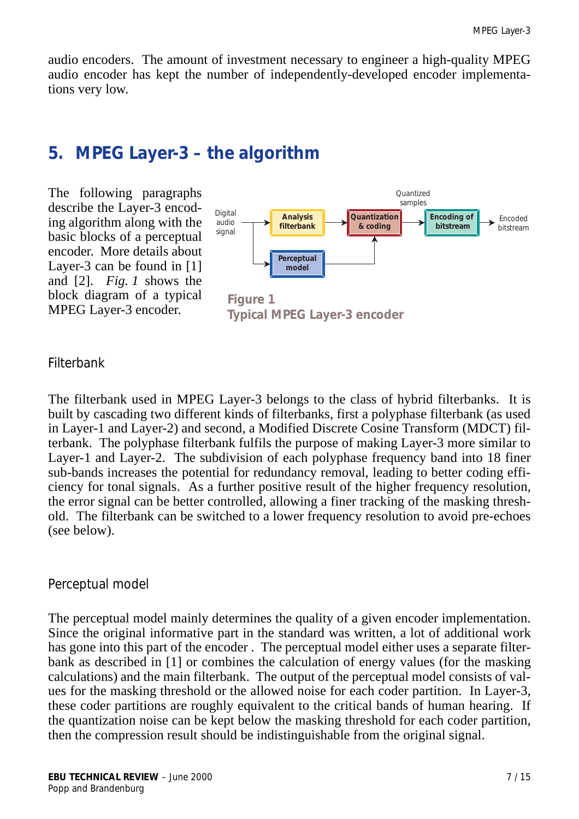audio encoders. The amount of investment necessary to engineer a high-quality MPEG audio encoder has kept the number of independently-developed encoder implementations very low.

## **5. MPEG Layer-3 – the algorithm**

The following paragraphs describe the Layer-3 encoding algorithm along with the basic blocks of a perceptual encoder. More details about Layer-3 can be found in [\[1\]](#page-14-0) and [\[2\].](#page-14-1) *Fig. 1* shows the block diagram of a typical MPEG Layer-3 encoder.



**Typical MPEG Layer-3 encoder**

#### *Filterbank*

The filterbank used in MPEG Layer-3 belongs to the class of hybrid filterbanks. It is built by cascading two different kinds of filterbanks, first a polyphase filterbank (as used in Layer-1 and Layer-2) and second, a Modified Discrete Cosine Transform (MDCT) filterbank. The polyphase filterbank fulfils the purpose of making Layer-3 more similar to Layer-1 and Layer-2. The subdivision of each polyphase frequency band into 18 finer sub-bands increases the potential for redundancy removal, leading to better coding efficiency for tonal signals. As a further positive result of the higher frequency resolution, the error signal can be better controlled, allowing a finer tracking of the masking threshold. The filterbank can be switched to a lower frequency resolution to avoid pre-echoes (see below).

#### *Perceptual model*

The perceptual model mainly determines the quality of a given encoder implementation. Since the original informative part in the standard was written, a lot of additional work has gone into this part of the encoder . The perceptual model either uses a separate filterbank as described in [\[1\]](#page-14-0) or combines the calculation of energy values (for the masking calculations) and the main filterbank. The output of the perceptual model consists of values for the masking threshold or the allowed noise for each coder partition. In Layer-3, these coder partitions are roughly equivalent to the critical bands of human hearing. If the quantization noise can be kept below the masking threshold for each coder partition, then the compression result should be indistinguishable from the original signal.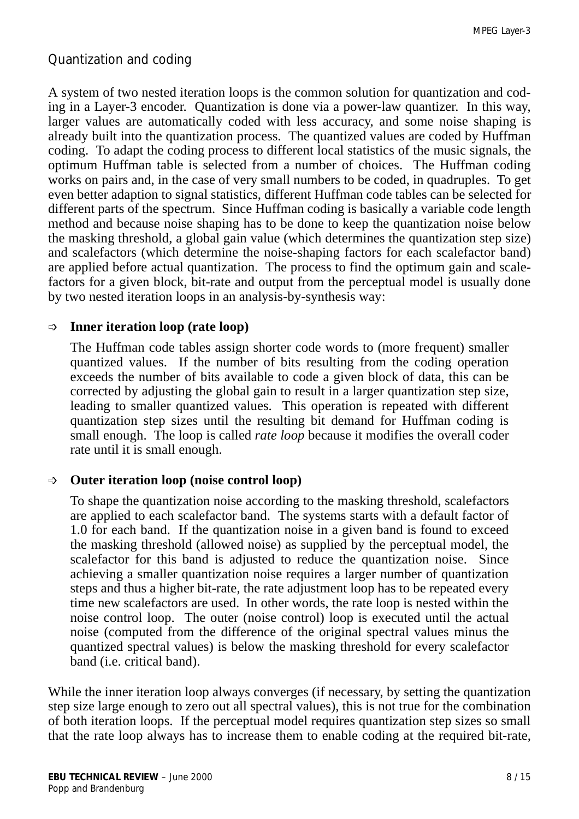## *Quantization and coding*

A system of two nested iteration loops is the common solution for quantization and coding in a Layer-3 encoder. Quantization is done via a power-law quantizer. In this way, larger values are automatically coded with less accuracy, and some noise shaping is already built into the quantization process. The quantized values are coded by Huffman coding. To adapt the coding process to different local statistics of the music signals, the optimum Huffman table is selected from a number of choices. The Huffman coding works on pairs and, in the case of very small numbers to be coded, in quadruples. To get even better adaption to signal statistics, different Huffman code tables can be selected for different parts of the spectrum. Since Huffman coding is basically a variable code length method and because noise shaping has to be done to keep the quantization noise below the masking threshold, a global gain value (which determines the quantization step size) and scalefactors (which determine the noise-shaping factors for each scalefactor band) are applied before actual quantization. The process to find the optimum gain and scalefactors for a given block, bit-rate and output from the perceptual model is usually done by two nested iteration loops in an analysis-by-synthesis way:

#### **Inner iteration loop (rate loop)**

The Huffman code tables assign shorter code words to (more frequent) smaller quantized values. If the number of bits resulting from the coding operation exceeds the number of bits available to code a given block of data, this can be corrected by adjusting the global gain to result in a larger quantization step size, leading to smaller quantized values. This operation is repeated with different quantization step sizes until the resulting bit demand for Huffman coding is small enough. The loop is called *rate loop* because it modifies the overall coder rate until it is small enough.

#### **Outer iteration loop (noise control loop)**

To shape the quantization noise according to the masking threshold, scalefactors are applied to each scalefactor band. The systems starts with a default factor of 1.0 for each band. If the quantization noise in a given band is found to exceed the masking threshold (allowed noise) as supplied by the perceptual model, the scalefactor for this band is adjusted to reduce the quantization noise. Since achieving a smaller quantization noise requires a larger number of quantization steps and thus a higher bit-rate, the rate adjustment loop has to be repeated every time new scalefactors are used. In other words, the rate loop is nested within the noise control loop. The outer (noise control) loop is executed until the actual noise (computed from the difference of the original spectral values minus the quantized spectral values) is below the masking threshold for every scalefactor band (i.e. critical band).

While the inner iteration loop always converges (if necessary, by setting the quantization step size large enough to zero out all spectral values), this is not true for the combination of both iteration loops. If the perceptual model requires quantization step sizes so small that the rate loop always has to increase them to enable coding at the required bit-rate,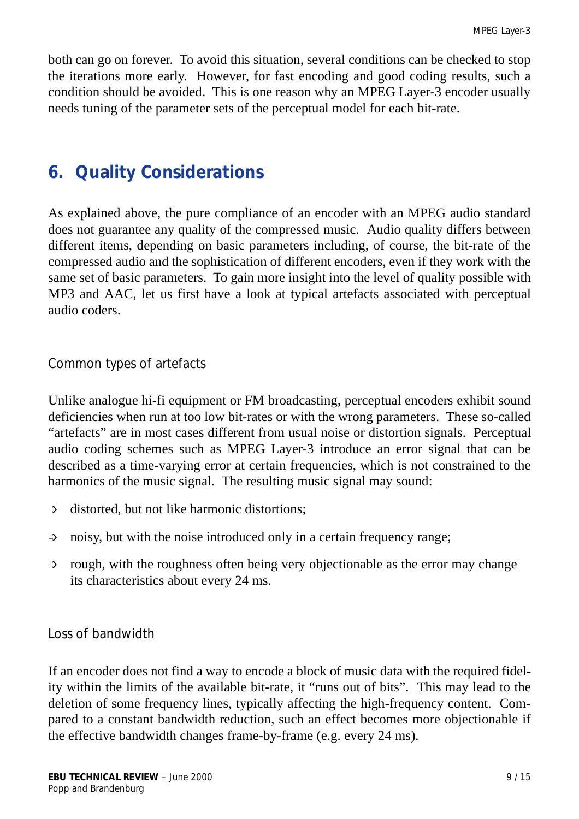both can go on forever. To avoid this situation, several conditions can be checked to stop the iterations more early. However, for fast encoding and good coding results, such a condition should be avoided. This is one reason why an MPEG Layer-3 encoder usually needs tuning of the parameter sets of the perceptual model for each bit-rate.

# **6. Quality Considerations**

As explained above, the pure compliance of an encoder with an MPEG audio standard does not guarantee any quality of the compressed music. Audio quality differs between different items, depending on basic parameters including, of course, the bit-rate of the compressed audio and the sophistication of different encoders, even if they work with the same set of basic parameters. To gain more insight into the level of quality possible with MP3 and AAC, let us first have a look at typical artefacts associated with perceptual audio coders.

#### *Common types of artefacts*

Unlike analogue hi-fi equipment or FM broadcasting, perceptual encoders exhibit sound deficiencies when run at too low bit-rates or with the wrong parameters. These so-called "artefacts" are in most cases different from usual noise or distortion signals. Perceptual audio coding schemes such as MPEG Layer-3 introduce an error signal that can be described as a time-varying error at certain frequencies, which is not constrained to the harmonics of the music signal. The resulting music signal may sound:

- $\Rightarrow$  distorted, but not like harmonic distortions;
- $\Rightarrow$  noisy, but with the noise introduced only in a certain frequency range;
- $\Rightarrow$  rough, with the roughness often being very objectionable as the error may change its characteristics about every 24 ms.

## *Loss of bandwidth*

If an encoder does not find a way to encode a block of music data with the required fidelity within the limits of the available bit-rate, it "runs out of bits". This may lead to the deletion of some frequency lines, typically affecting the high-frequency content. Compared to a constant bandwidth reduction, such an effect becomes more objectionable if the effective bandwidth changes frame-by-frame (e.g. every 24 ms).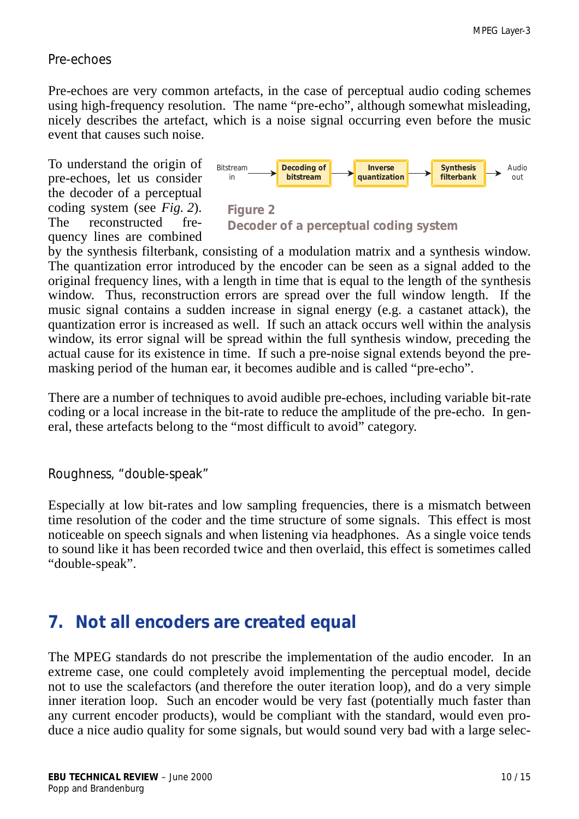#### *Pre-echoes*

Pre-echoes are very common artefacts, in the case of perceptual audio coding schemes using high-frequency resolution. The name "pre-echo", although somewhat misleading, nicely describes the artefact, which is a noise signal occurring even before the music event that causes such noise.

To understand the origin of pre-echoes, let us consider the decoder of a perceptual coding system (see *Fig. 2*). The reconstructed frequency lines are combined



by the synthesis filterbank, consisting of a modulation matrix and a synthesis window. The quantization error introduced by the encoder can be seen as a signal added to the original frequency lines, with a length in time that is equal to the length of the synthesis window. Thus, reconstruction errors are spread over the full window length. If the music signal contains a sudden increase in signal energy (e.g. a castanet attack), the quantization error is increased as well. If such an attack occurs well within the analysis window, its error signal will be spread within the full synthesis window, preceding the actual cause for its existence in time. If such a pre-noise signal extends beyond the premasking period of the human ear, it becomes audible and is called "pre-echo".

There are a number of techniques to avoid audible pre-echoes, including variable bit-rate coding or a local increase in the bit-rate to reduce the amplitude of the pre-echo. In general, these artefacts belong to the "most difficult to avoid" category.

#### *Roughness, "double-speak"*

Especially at low bit-rates and low sampling frequencies, there is a mismatch between time resolution of the coder and the time structure of some signals. This effect is most noticeable on speech signals and when listening via headphones. As a single voice tends to sound like it has been recorded twice and then overlaid, this effect is sometimes called "double-speak".

## **7. Not all encoders are created equal**

The MPEG standards do not prescribe the implementation of the audio encoder. In an extreme case, one could completely avoid implementing the perceptual model, decide not to use the scalefactors (and therefore the outer iteration loop), and do a very simple inner iteration loop. Such an encoder would be very fast (potentially much faster than any current encoder products), would be compliant with the standard, would even produce a nice audio quality for some signals, but would sound very bad with a large selec-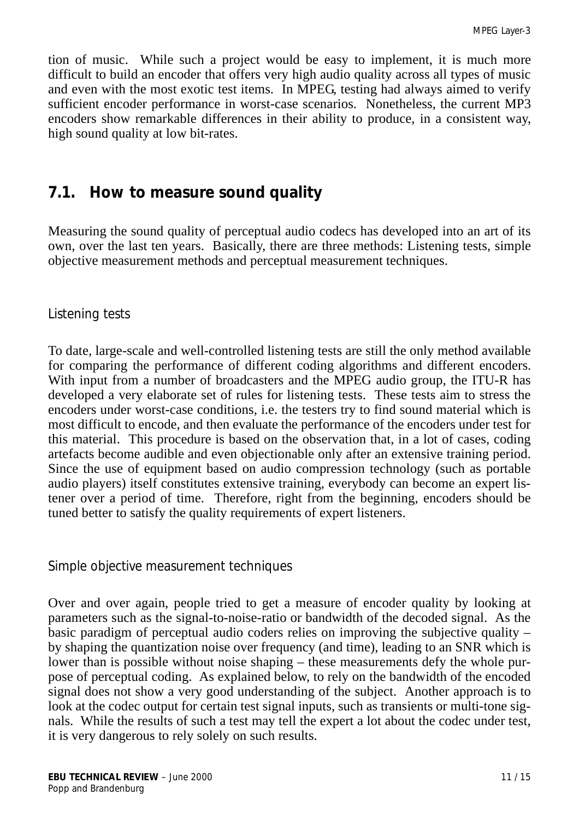tion of music. While such a project would be easy to implement, it is much more difficult to build an encoder that offers very high audio quality across all types of music and even with the most exotic test items. In MPEG, testing had always aimed to verify sufficient encoder performance in worst-case scenarios. Nonetheless, the current MP3 encoders show remarkable differences in their ability to produce, in a consistent way, high sound quality at low bit-rates.

## *7.1. How to measure sound quality*

Measuring the sound quality of perceptual audio codecs has developed into an art of its own, over the last ten years. Basically, there are three methods: Listening tests, simple objective measurement methods and perceptual measurement techniques.

#### *Listening tests*

To date, large-scale and well-controlled listening tests are still the only method available for comparing the performance of different coding algorithms and different encoders. With input from a number of broadcasters and the MPEG audio group, the ITU-R has developed a very elaborate set of rules for listening tests. These tests aim to stress the encoders under worst-case conditions, i.e. the testers try to find sound material which is most difficult to encode, and then evaluate the performance of the encoders under test for this material. This procedure is based on the observation that, in a lot of cases, coding artefacts become audible and even objectionable only after an extensive training period. Since the use of equipment based on audio compression technology (such as portable audio players) itself constitutes extensive training, everybody can become an expert listener over a period of time. Therefore, right from the beginning, encoders should be tuned better to satisfy the quality requirements of expert listeners.

#### *Simple objective measurement techniques*

Over and over again, people tried to get a measure of encoder quality by looking at parameters such as the signal-to-noise-ratio or bandwidth of the decoded signal. As the basic paradigm of perceptual audio coders relies on improving the subjective quality – by shaping the quantization noise over frequency (and time), leading to an SNR which is lower than is possible without noise shaping – these measurements defy the whole purpose of perceptual coding. As explained below, to rely on the bandwidth of the encoded signal does not show a very good understanding of the subject. Another approach is to look at the codec output for certain test signal inputs, such as transients or multi-tone signals. While the results of such a test may tell the expert a lot about the codec under test, it is very dangerous to rely solely on such results.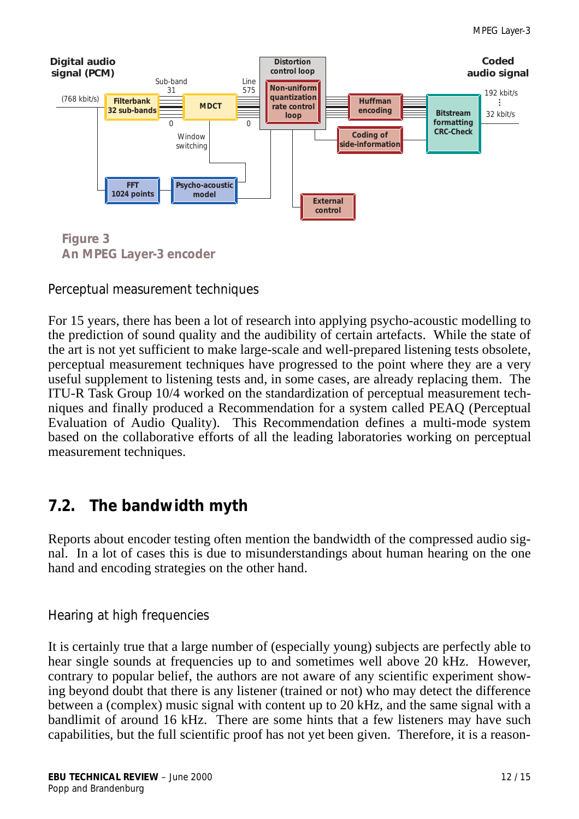

**Figure 3 An MPEG Layer-3 encoder**

*Perceptual measurement techniques*

For 15 years, there has been a lot of research into applying psycho-acoustic modelling to the prediction of sound quality and the audibility of certain artefacts. While the state of the art is not yet sufficient to make large-scale and well-prepared listening tests obsolete, perceptual measurement techniques have progressed to the point where they are a very useful supplement to listening tests and, in some cases, are already replacing them. The ITU-R Task Group 10/4 worked on the standardization of perceptual measurement techniques and finally produced a Recommendation for a system called PEAQ (Perceptual Evaluation of Audio Quality). This Recommendation defines a multi-mode system based on the collaborative efforts of all the leading laboratories working on perceptual measurement techniques.

# *7.2. The bandwidth myth*

Reports about encoder testing often mention the bandwidth of the compressed audio signal. In a lot of cases this is due to misunderstandings about human hearing on the one hand and encoding strategies on the other hand.

## *Hearing at high frequencies*

It is certainly true that a large number of (especially young) subjects are perfectly able to hear single sounds at frequencies up to and sometimes well above 20 kHz. However, contrary to popular belief, the authors are not aware of any scientific experiment showing beyond doubt that there is any listener (trained or not) who may detect the difference between a (complex) music signal with content up to 20 kHz, and the same signal with a bandlimit of around 16 kHz. There are some hints that a few listeners may have such capabilities, but the full scientific proof has not yet been given. Therefore, it is a reason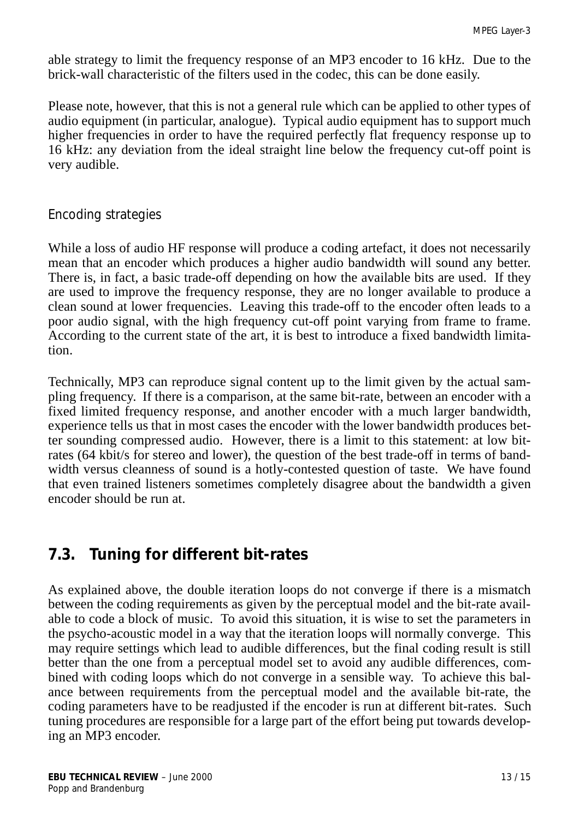able strategy to limit the frequency response of an MP3 encoder to 16 kHz. Due to the brick-wall characteristic of the filters used in the codec, this can be done easily.

Please note, however, that this is not a general rule which can be applied to other types of audio equipment (in particular, analogue). Typical audio equipment has to support much higher frequencies in order to have the required perfectly flat frequency response up to 16 kHz: any deviation from the ideal straight line below the frequency cut-off point is very audible.

## *Encoding strategies*

While a loss of audio HF response will produce a coding artefact, it does not necessarily mean that an encoder which produces a higher audio bandwidth will sound any better. There is, in fact, a basic trade-off depending on how the available bits are used. If they are used to improve the frequency response, they are no longer available to produce a clean sound at lower frequencies. Leaving this trade-off to the encoder often leads to a poor audio signal, with the high frequency cut-off point varying from frame to frame. According to the current state of the art, it is best to introduce a fixed bandwidth limitation.

Technically, MP3 can reproduce signal content up to the limit given by the actual sampling frequency. If there is a comparison, at the same bit-rate, between an encoder with a fixed limited frequency response, and another encoder with a much larger bandwidth, experience tells us that in most cases the encoder with the lower bandwidth produces better sounding compressed audio. However, there is a limit to this statement: at low bitrates (64 kbit/s for stereo and lower), the question of the best trade-off in terms of bandwidth versus cleanness of sound is a hotly-contested question of taste. We have found that even trained listeners sometimes completely disagree about the bandwidth a given encoder should be run at.

## *7.3. Tuning for different bit-rates*

As explained above, the double iteration loops do not converge if there is a mismatch between the coding requirements as given by the perceptual model and the bit-rate available to code a block of music. To avoid this situation, it is wise to set the parameters in the psycho-acoustic model in a way that the iteration loops will normally converge. This may require settings which lead to audible differences, but the final coding result is still better than the one from a perceptual model set to avoid any audible differences, combined with coding loops which do not converge in a sensible way. To achieve this balance between requirements from the perceptual model and the available bit-rate, the coding parameters have to be readjusted if the encoder is run at different bit-rates. Such tuning procedures are responsible for a large part of the effort being put towards developing an MP3 encoder.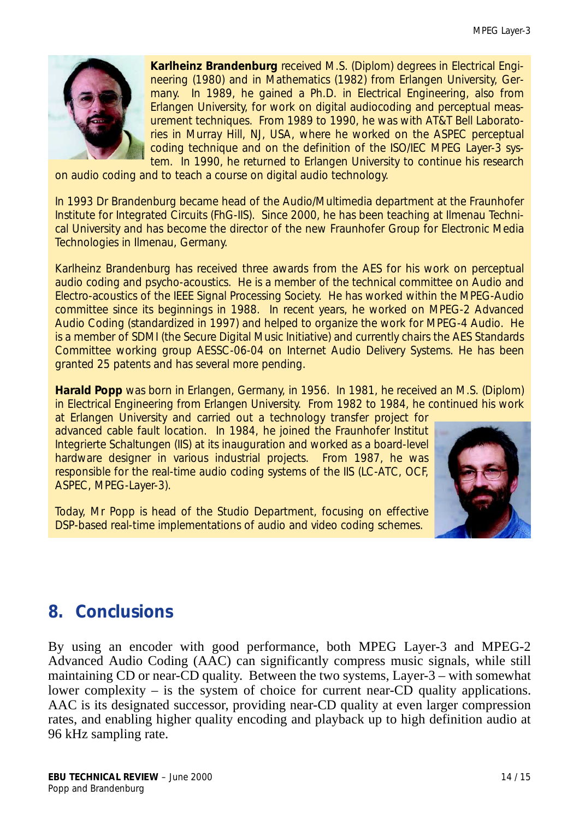

**Karlheinz Brandenburg** received M.S. (Diplom) degrees in Electrical Engineering (1980) and in Mathematics (1982) from Erlangen University, Germany. In 1989, he gained a Ph.D. in Electrical Engineering, also from Erlangen University, for work on digital audiocoding and perceptual measurement techniques. From 1989 to 1990, he was with AT&T Bell Laboratories in Murray Hill, NJ, USA, where he worked on the ASPEC perceptual coding technique and on the definition of the ISO/IEC MPEG Layer-3 system. In 1990, he returned to Erlangen University to continue his research

on audio coding and to teach a course on digital audio technology.

In 1993 Dr Brandenburg became head of the Audio/Multimedia department at the Fraunhofer Institute for Integrated Circuits (FhG-IIS). Since 2000, he has been teaching at Ilmenau Technical University and has become the director of the new Fraunhofer Group for Electronic Media Technologies in Ilmenau, Germany.

Karlheinz Brandenburg has received three awards from the AES for his work on perceptual audio coding and psycho-acoustics. He is a member of the technical committee on Audio and Electro-acoustics of the IEEE Signal Processing Society. He has worked within the MPEG-Audio committee since its beginnings in 1988. In recent years, he worked on MPEG-2 Advanced Audio Coding (standardized in 1997) and helped to organize the work for MPEG-4 Audio. He is a member of SDMI (the Secure Digital Music Initiative) and currently chairs the AES Standards Committee working group AESSC-06-04 on Internet Audio Delivery Systems. He has been granted 25 patents and has several more pending.

**Harald Popp** was born in Erlangen, Germany, in 1956. In 1981, he received an M.S. (Diplom) in Electrical Engineering from Erlangen University. From 1982 to 1984, he continued his work

at Erlangen University and carried out a technology transfer project for advanced cable fault location. In 1984, he joined the *Fraunhofer Institut Integrierte Schaltungen (IIS)* at its inauguration and worked as a board-level hardware designer in various industrial projects. From 1987, he was responsible for the real-time audio coding systems of the IIS (LC-ATC, OCF, ASPEC, MPEG-Layer-3).

Today, Mr Popp is head of the Studio Department, focusing on effective DSP-based real-time implementations of audio and video coding schemes.



# **8. Conclusions**

By using an encoder with good performance, both MPEG Layer-3 and MPEG-2 Advanced Audio Coding (AAC) can significantly compress music signals, while still maintaining CD or near-CD quality. Between the two systems, Layer-3 – with somewhat lower complexity – is the system of choice for current near-CD quality applications. AAC is its designated successor, providing near-CD quality at even larger compression rates, and enabling higher quality encoding and playback up to high definition audio at 96 kHz sampling rate.